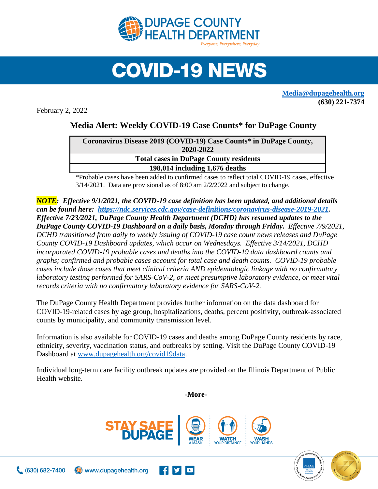

## **COVID-19 NEWS**

**[Media@dupagehealth.org](mailto:Media@dupagehealth.org) (630) 221-7374**

February 2, 2022

## **Media Alert: Weekly COVID-19 Case Counts\* for DuPage County**

| Coronavirus Disease 2019 (COVID-19) Case Counts* in DuPage County, |
|--------------------------------------------------------------------|
| 2020-2022                                                          |
| <b>Total cases in DuPage County residents</b>                      |
| 198,014 including 1,676 deaths                                     |
|                                                                    |

\*Probable cases have been added to confirmed cases to reflect total COVID-19 cases, effective 3/14/2021. Data are provisional as of 8:00 am 2/2/2022 and subject to change.

*NOTE: Effective 9/1/2021, the COVID-19 case definition has been updated, and additional details can be found here: [https://ndc.services.cdc.gov/case-definitions/coronavirus-disease-2019-2021.](https://ndc.services.cdc.gov/case-definitions/coronavirus-disease-2019-2021) Effective 7/23/2021, DuPage County Health Department (DCHD) has resumed updates to the DuPage County COVID-19 Dashboard on a daily basis, Monday through Friday. Effective 7/9/2021, DCHD transitioned from daily to weekly issuing of COVID-19 case count news releases and DuPage County COVID-19 Dashboard updates, which occur on Wednesdays. Effective 3/14/2021, DCHD incorporated COVID-19 probable cases and deaths into the [COVID-19 data dashboard](http://www.dupagehealth.org/covid19data) counts and graphs; confirmed and probable cases account for total case and death counts. COVID-19 probable cases include those cases that meet clinical criteria AND epidemiologic linkage with no confirmatory laboratory testing performed for SARS-CoV-2, or meet presumptive laboratory evidence, or meet vital records criteria with no confirmatory laboratory evidence for SARS-CoV-2.*

The DuPage County Health Department provides further information on the data dashboard for COVID-19-related cases by age group, hospitalizations, deaths, percent positivity, outbreak-associated counts by municipality, and community transmission level.

Information is also available for COVID-19 cases and deaths among DuPage County residents by race, ethnicity, severity, vaccination status, and outbreaks by setting. Visit the DuPage County COVID-19 Dashboard at [www.dupagehealth.org/covid19data.](http://www.dupagehealth.org/covid19data)

Individual long-term care facility outbreak updates are provided on the Illinois Department of Public Health website.

**-More-**